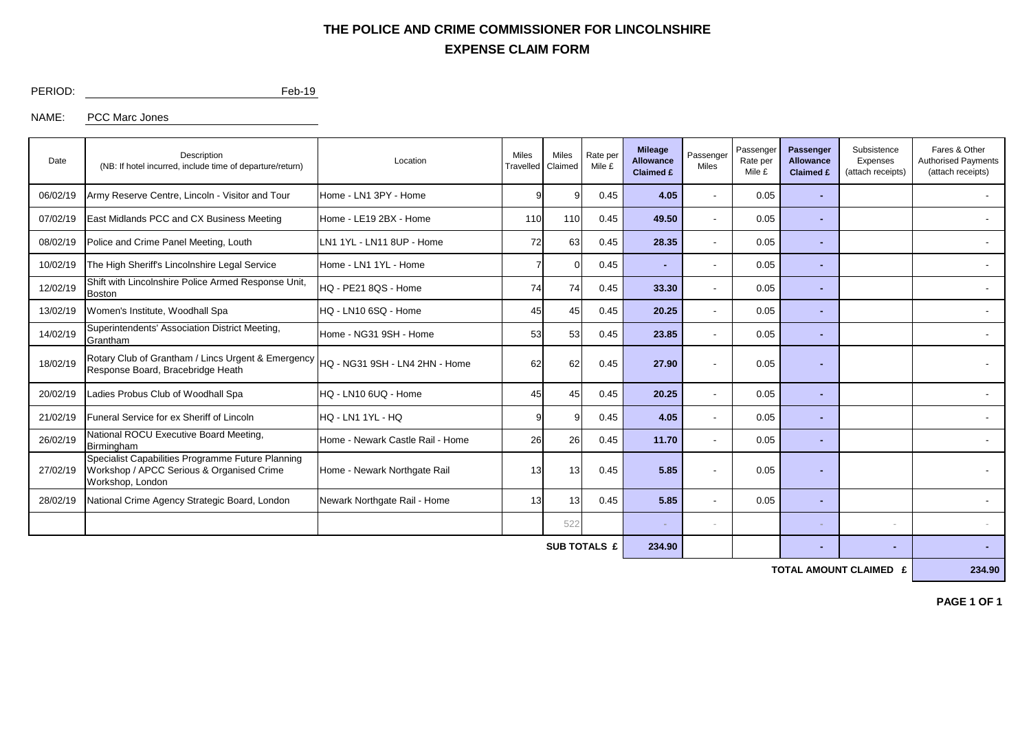## **EXPENSE CLAIM FORM THE POLICE AND CRIME COMMISSIONER FOR LINCOLNSHIRE**

PERIOD: Feb-19

NAME: PCC Marc Jones

| Date                | Description<br>(NB: If hotel incurred, include time of departure/return)                                           | Location                         | <b>Miles</b><br>Travelled | Miles<br>Claimed | Rate per<br>Mile £ | <b>Mileage</b><br><b>Allowance</b><br><b>Claimed £</b> | Passenger<br>Miles       | Passenger<br>Rate per<br>Mile £ | Passenger<br><b>Allowance</b><br><b>Claimed £</b> | Subsistence<br>Expenses<br>(attach receipts) | Fares & Other<br><b>Authorised Payments</b><br>(attach receipts) |
|---------------------|--------------------------------------------------------------------------------------------------------------------|----------------------------------|---------------------------|------------------|--------------------|--------------------------------------------------------|--------------------------|---------------------------------|---------------------------------------------------|----------------------------------------------|------------------------------------------------------------------|
| 06/02/19            | Army Reserve Centre, Lincoln - Visitor and Tour                                                                    | Home - LN1 3PY - Home            | 9                         |                  | 0.45               | 4.05                                                   | $\overline{\phantom{a}}$ | 0.05                            | <b>Table</b>                                      |                                              |                                                                  |
| 07/02/19            | East Midlands PCC and CX Business Meeting                                                                          | Home - LE19 2BX - Home           | 110                       | 110              | 0.45               | 49.50                                                  | $\overline{\phantom{a}}$ | 0.05                            |                                                   |                                              |                                                                  |
| 08/02/19            | Police and Crime Panel Meeting, Louth                                                                              | LN1 1YL - LN11 8UP - Home        | 72                        | 63               | 0.45               | 28.35                                                  |                          | 0.05                            | $\blacksquare$                                    |                                              |                                                                  |
| 10/02/19            | The High Sheriff's Lincolnshire Legal Service                                                                      | Home - LN1 1YL - Home            |                           | 0.45             |                    |                                                        |                          | 0.05                            |                                                   |                                              |                                                                  |
| 12/02/19            | Shift with Lincolnshire Police Armed Response Unit,<br>Boston                                                      | HQ - PE21 8QS - Home             | 74                        | 74               | 0.45               | 33.30                                                  |                          | 0.05                            |                                                   |                                              |                                                                  |
| 13/02/19            | Women's Institute, Woodhall Spa                                                                                    | HQ - LN10 6SQ - Home             | 45                        | 45               | 0.45               | 20.25                                                  |                          | 0.05                            |                                                   |                                              |                                                                  |
| 14/02/19            | Superintendents' Association District Meeting,<br>Grantham                                                         | Home - NG31 9SH - Home           | 53                        | 53               | 0.45               | 23.85                                                  |                          | 0.05                            |                                                   |                                              |                                                                  |
| 18/02/19            | Rotary Club of Grantham / Lincs Urgent & Emergency<br>Response Board, Bracebridge Heath                            | HQ - NG31 9SH - LN4 2HN - Home   | 62                        | 62               | 0.45               | 27.90                                                  |                          | 0.05                            |                                                   |                                              |                                                                  |
| 20/02/19            | Ladies Probus Club of Woodhall Spa                                                                                 | HQ - LN10 6UQ - Home             | 45                        | 45               | 0.45               | 20.25                                                  | $\sim$                   | 0.05                            |                                                   |                                              |                                                                  |
| 21/02/19            | Funeral Service for ex Sheriff of Lincoln                                                                          | HQ - LN1 1YL - HQ                | 9                         |                  | 0.45               | 4.05                                                   |                          | 0.05                            |                                                   |                                              |                                                                  |
| 26/02/19            | National ROCU Executive Board Meeting,<br>Birmingham                                                               | Home - Newark Castle Rail - Home | 26                        | <b>26</b>        | 0.45               | 11.70                                                  | $\overline{\phantom{a}}$ | 0.05                            | $\sim$                                            |                                              |                                                                  |
| 27/02/19            | Specialist Capabilities Programme Future Planning<br>Workshop / APCC Serious & Organised Crime<br>Workshop, London | Home - Newark Northgate Rail     | 13                        | 13               | 0.45               | 5.85                                                   |                          | 0.05                            |                                                   |                                              |                                                                  |
| 28/02/19            | National Crime Agency Strategic Board, London                                                                      | Newark Northgate Rail - Home     | 13                        | 13               | 0.45               | 5.85                                                   |                          | 0.05                            |                                                   |                                              |                                                                  |
|                     |                                                                                                                    |                                  |                           | 522              |                    |                                                        |                          |                                 |                                                   |                                              |                                                                  |
| <b>SUB TOTALS £</b> |                                                                                                                    |                                  |                           |                  |                    |                                                        |                          |                                 |                                                   | ٠                                            |                                                                  |

**TOTAL AMOUNT CLAIMED £** 234.90

**PAGE 1 OF 1**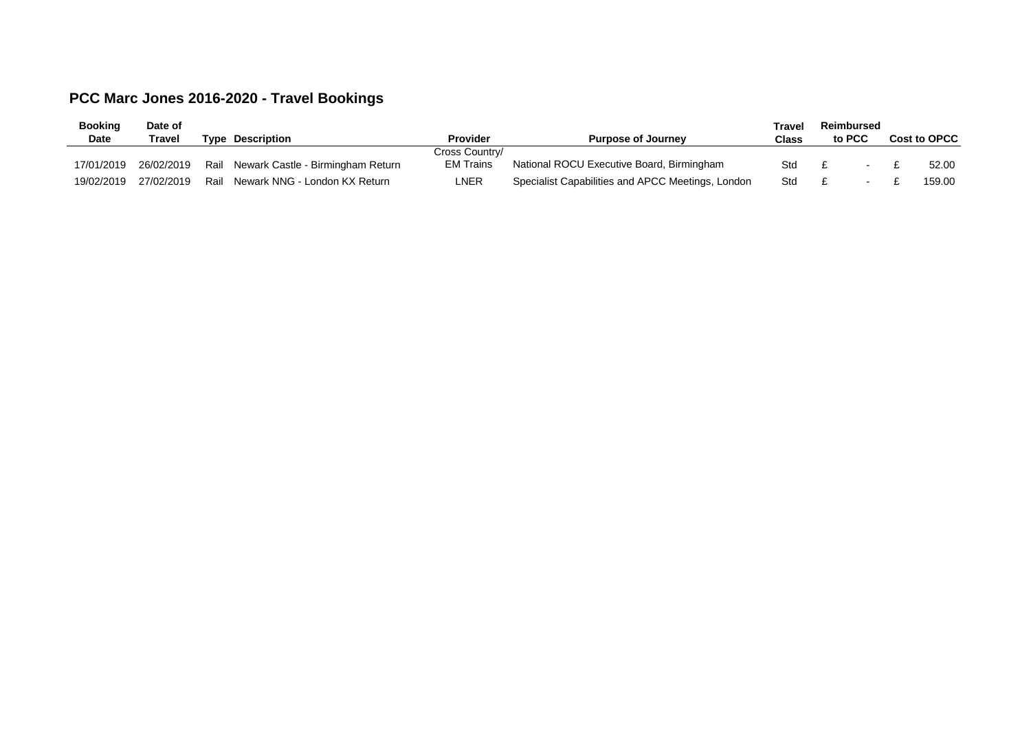## **PCC Marc Jones 2016-2020 - Travel Bookings**

| <b>Booking</b> | Date of    |                                        |                |                                                   | <b>Travel</b> | Reimbursed |  |              |        |
|----------------|------------|----------------------------------------|----------------|---------------------------------------------------|---------------|------------|--|--------------|--------|
| Date           | Travel     | <b>Type Description</b>                | Provider       | <b>Purpose of Journey</b>                         | Class         | to PCC     |  | Cost to OPCC |        |
|                |            |                                        | Cross Country/ |                                                   |               |            |  |              |        |
| 17/01/2019     | 26/02/2019 | Rail Newark Castle - Birmingham Return | EM Trains      | National ROCU Executive Board, Birmingham         | Std           |            |  |              | 52.00  |
| 19/02/2019     | 27/02/2019 | Rail Newark NNG - London KX Return     | LNER           | Specialist Capabilities and APCC Meetings, London | Std           |            |  |              | 159.00 |